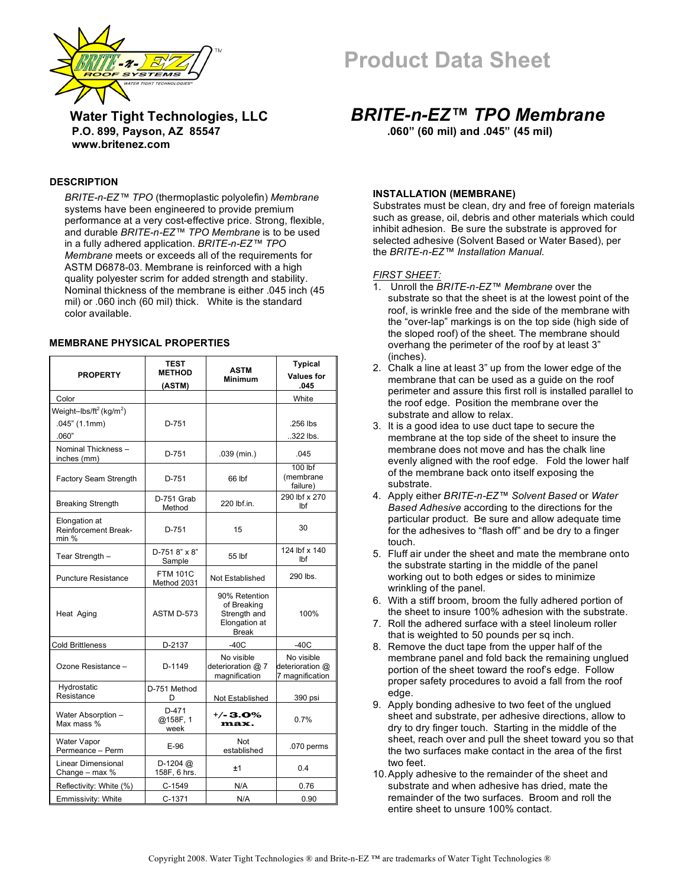



 **P.O. 899, Payson, AZ 85547 .060" (60 mil) and .045" (45 mil)**

## **Water Tight Technologies, LLC** *BRITE-n-EZ™ TPO Membrane* **www.britenez.com**

#### **DESCRIPTION**

*BRITE-n-EZ™ TPO* (thermoplastic polyolefin) *Membrane*  systems have been engineered to provide premium performance at a very cost-effective price. Strong, flexible, and durable *BRITE-n-EZ™ TPO Membrane* is to be used in a fully adhered application. *BRITE-n-EZ™ TPO Membrane* meets or exceeds all of the requirements for ASTM D6878-03. Membrane is reinforced with a high quality polyester scrim for added strength and stability. Nominal thickness of the membrane is either .045 inch (45 mil) or .060 inch (60 mil) thick. White is the standard color available.

#### **MEMBRANE PHYSICAL PROPERTIES**

| <b>PROPERTY</b>                                         | <b>TEST</b><br><b>METHOD</b>   | <b>ASTM</b><br>Minimum                                                        | <b>Typical</b><br><b>Values for</b><br>.045      |
|---------------------------------------------------------|--------------------------------|-------------------------------------------------------------------------------|--------------------------------------------------|
| Color                                                   | (ASTM)                         |                                                                               | White                                            |
| Weight-lbs/ft <sup>2</sup> (kg/m <sup>2</sup> )         |                                |                                                                               |                                                  |
| .045" (1.1mm)<br>.060"                                  | $D-751$                        |                                                                               | .256 lbs<br>322 lbs.                             |
| Nominal Thickness -<br>inches (mm)                      | $D-751$                        | .039 (min.)                                                                   | .045                                             |
| Factory Seam Strength                                   | D-751                          | 66 lbf                                                                        | $100$ lbf<br>(membrane<br>failure)               |
| <b>Breaking Strength</b>                                | D-751 Grab<br>Method           | 220 lbf.in.                                                                   | 290 lbf x 270<br>lbf                             |
| Elongation at<br><b>Reinforcement Break-</b><br>$min$ % | $D-751$                        | 15                                                                            | 30                                               |
| Tear Strength -                                         | $D-7518" \times 8"$<br>Sample  | 55 lbf                                                                        | 124 lbf x 140<br>lbf                             |
| <b>Puncture Resistance</b>                              | <b>FTM 101C</b><br>Method 2031 | Not Established                                                               | 290 lbs.                                         |
| Heat Aging                                              | ASTM D-573                     | 90% Retention<br>of Breaking<br>Strength and<br>Elongation at<br><b>Break</b> | 100%                                             |
| <b>Cold Brittleness</b>                                 | D-2137                         | $-40C$                                                                        | $-40C$                                           |
| Ozone Resistance -                                      | D-1149                         | No visible<br>deterioration @ 7<br>magnification                              | No visible<br>deterioration @<br>7 magnification |
| Hydrostatic<br>Resistance                               | D-751 Method<br>D              | Not Established                                                               | 390 psi                                          |
| Water Absorption -<br>Max mass %                        | $D-471$<br>@158F, 1<br>week    | +/-3.0%<br>max.                                                               | 0.7%                                             |
| Water Vapor<br>Permeance - Perm                         | $E-96$                         | Not<br>established                                                            | .070 perms                                       |
| <b>Linear Dimensional</b><br>Change - max %             | $D-1204$ @<br>158F, 6 hrs.     | ±1                                                                            | 0.4                                              |
| Reflectivity: White (%)                                 | $C-1549$                       | N/A                                                                           | 0.76                                             |
| Emmissivity: White                                      | $C-1371$                       | N/A                                                                           | 0.90                                             |

### **INSTALLATION (MEMBRANE)**

Substrates must be clean, dry and free of foreign materials such as grease, oil, debris and other materials which could inhibit adhesion. Be sure the substrate is approved for selected adhesive (Solvent Based or Water Based), per the *BRITE-n-EZ™ Installation Manual*.

#### *FIRST SHEET:*

- 1. Unroll the *BRITE-n-EZ™ Membrane* over the substrate so that the sheet is at the lowest point of the roof, is wrinkle free and the side of the membrane with the "over-lap" markings is on the top side (high side of the sloped roof) of the sheet. The membrane should overhang the perimeter of the roof by at least 3" (inches).
- 2. Chalk a line at least 3" up from the lower edge of the membrane that can be used as a guide on the roof perimeter and assure this first roll is installed parallel to the roof edge. Position the membrane over the substrate and allow to relax.
- 3. It is a good idea to use duct tape to secure the membrane at the top side of the sheet to insure the membrane does not move and has the chalk line evenly aligned with the roof edge. Fold the lower half of the membrane back onto itself exposing the substrate.
- 4. Apply either *BRITE-n-EZ™ Solvent Based* or *Water Based Adhesive* according to the directions for the particular product. Be sure and allow adequate time for the adhesives to "flash off" and be dry to a finger touch.
- 5. Fluff air under the sheet and mate the membrane onto the substrate starting in the middle of the panel working out to both edges or sides to minimize wrinkling of the panel.
- 6. With a stiff broom, broom the fully adhered portion of the sheet to insure 100% adhesion with the substrate.
- 7. Roll the adhered surface with a steel linoleum roller that is weighted to 50 pounds per sq inch.
- 8. Remove the duct tape from the upper half of the membrane panel and fold back the remaining unglued portion of the sheet toward the roof's edge. Follow proper safety procedures to avoid a fall from the roof edge.
- 9. Apply bonding adhesive to two feet of the unglued sheet and substrate, per adhesive directions, allow to dry to dry finger touch. Starting in the middle of the sheet, reach over and pull the sheet toward you so that the two surfaces make contact in the area of the first two feet.
- 10.Apply adhesive to the remainder of the sheet and substrate and when adhesive has dried, mate the remainder of the two surfaces. Broom and roll the entire sheet to unsure 100% contact.